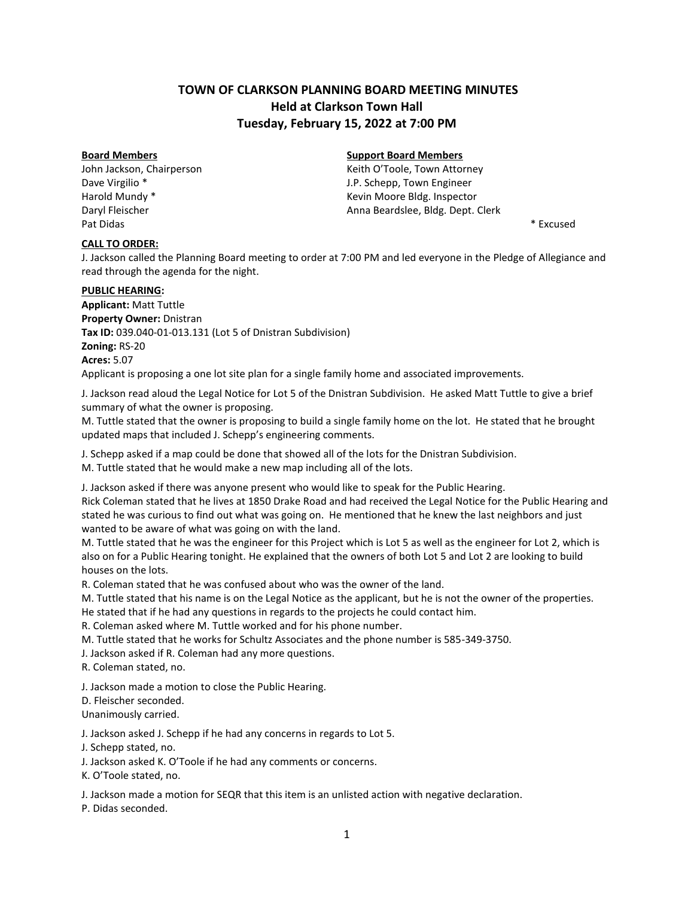# **TOWN OF CLARKSON PLANNING BOARD MEETING MINUTES Held at Clarkson Town Hall Tuesday, February 15, 2022 at 7:00 PM**

Pat Didas \* Excused \* \* Excused \* \* Excused \* \* Excused \* \* Excused \* \* Excused \*

# **CALL TO ORDER:**

**Board Members Support Board Members**

John Jackson, Chairperson **Matter Contains a Community Contains Action** Keith O'Toole, Town Attorney Dave Virgilio \* The Communication of the U.P. Schepp, Town Engineer Harold Mundy \* The Mundow of the Moore Bldg. Inspector Daryl Fleischer **Anna Beardslee, Bldg. Dept. Clerk** Anna Beardslee, Bldg. Dept. Clerk

J. Jackson called the Planning Board meeting to order at 7:00 PM and led everyone in the Pledge of Allegiance and read through the agenda for the night.

### **PUBLIC HEARING:**

**Applicant:** Matt Tuttle **Property Owner:** Dnistran **Tax ID:** 039.040-01-013.131 (Lot 5 of Dnistran Subdivision) **Zoning:** RS-20 **Acres:** 5.07 Applicant is proposing a one lot site plan for a single family home and associated improvements.

J. Jackson read aloud the Legal Notice for Lot 5 of the Dnistran Subdivision. He asked Matt Tuttle to give a brief summary of what the owner is proposing.

M. Tuttle stated that the owner is proposing to build a single family home on the lot. He stated that he brought updated maps that included J. Schepp's engineering comments.

J. Schepp asked if a map could be done that showed all of the lots for the Dnistran Subdivision.

M. Tuttle stated that he would make a new map including all of the lots.

J. Jackson asked if there was anyone present who would like to speak for the Public Hearing.

Rick Coleman stated that he lives at 1850 Drake Road and had received the Legal Notice for the Public Hearing and stated he was curious to find out what was going on. He mentioned that he knew the last neighbors and just wanted to be aware of what was going on with the land.

M. Tuttle stated that he was the engineer for this Project which is Lot 5 as well as the engineer for Lot 2, which is also on for a Public Hearing tonight. He explained that the owners of both Lot 5 and Lot 2 are looking to build houses on the lots.

R. Coleman stated that he was confused about who was the owner of the land.

M. Tuttle stated that his name is on the Legal Notice as the applicant, but he is not the owner of the properties. He stated that if he had any questions in regards to the projects he could contact him.

R. Coleman asked where M. Tuttle worked and for his phone number.

M. Tuttle stated that he works for Schultz Associates and the phone number is 585-349-3750.

J. Jackson asked if R. Coleman had any more questions.

R. Coleman stated, no.

J. Jackson made a motion to close the Public Hearing.

D. Fleischer seconded.

Unanimously carried.

J. Jackson asked J. Schepp if he had any concerns in regards to Lot 5.

J. Schepp stated, no.

J. Jackson asked K. O'Toole if he had any comments or concerns.

K. O'Toole stated, no.

J. Jackson made a motion for SEQR that this item is an unlisted action with negative declaration.

P. Didas seconded.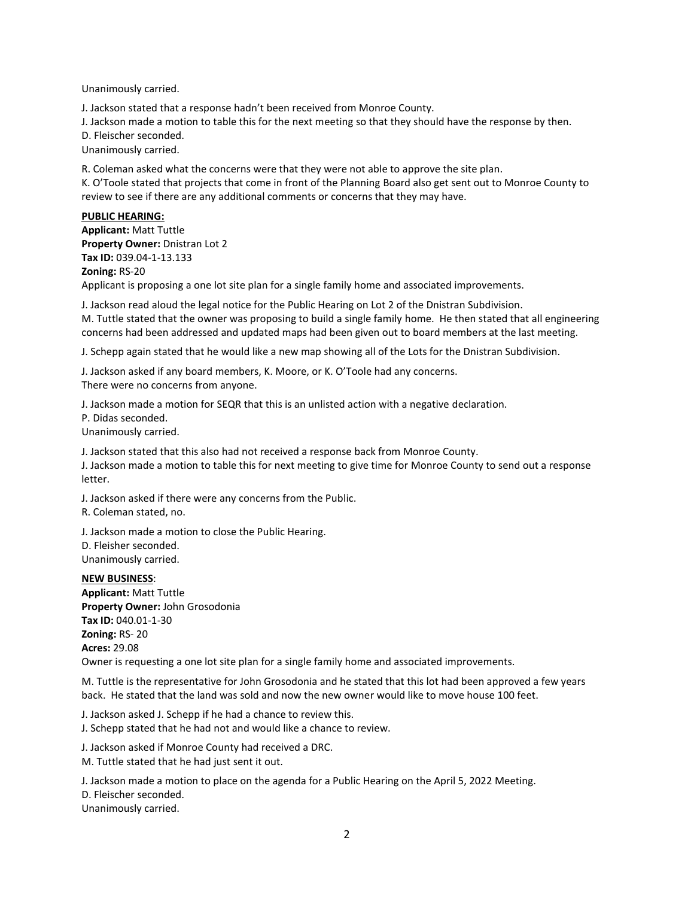Unanimously carried.

J. Jackson stated that a response hadn't been received from Monroe County.

J. Jackson made a motion to table this for the next meeting so that they should have the response by then.

D. Fleischer seconded.

Unanimously carried.

R. Coleman asked what the concerns were that they were not able to approve the site plan.

K. O'Toole stated that projects that come in front of the Planning Board also get sent out to Monroe County to review to see if there are any additional comments or concerns that they may have.

# **PUBLIC HEARING:**

**Applicant:** Matt Tuttle **Property Owner:** Dnistran Lot 2 **Tax ID:** 039.04-1-13.133

### **Zoning:** RS-20

Applicant is proposing a one lot site plan for a single family home and associated improvements.

J. Jackson read aloud the legal notice for the Public Hearing on Lot 2 of the Dnistran Subdivision. M. Tuttle stated that the owner was proposing to build a single family home. He then stated that all engineering concerns had been addressed and updated maps had been given out to board members at the last meeting.

J. Schepp again stated that he would like a new map showing all of the Lots for the Dnistran Subdivision.

J. Jackson asked if any board members, K. Moore, or K. O'Toole had any concerns. There were no concerns from anyone.

J. Jackson made a motion for SEQR that this is an unlisted action with a negative declaration.

P. Didas seconded.

Unanimously carried.

J. Jackson stated that this also had not received a response back from Monroe County.

J. Jackson made a motion to table this for next meeting to give time for Monroe County to send out a response letter.

J. Jackson asked if there were any concerns from the Public.

R. Coleman stated, no.

J. Jackson made a motion to close the Public Hearing.

D. Fleisher seconded. Unanimously carried.

### **NEW BUSINESS**:

**Applicant:** Matt Tuttle **Property Owner:** John Grosodonia **Tax ID:** 040.01-1-30 **Zoning:** RS- 20 **Acres:** 29.08

Owner is requesting a one lot site plan for a single family home and associated improvements.

M. Tuttle is the representative for John Grosodonia and he stated that this lot had been approved a few years back. He stated that the land was sold and now the new owner would like to move house 100 feet.

J. Jackson asked J. Schepp if he had a chance to review this.

J. Schepp stated that he had not and would like a chance to review.

J. Jackson asked if Monroe County had received a DRC.

M. Tuttle stated that he had just sent it out.

J. Jackson made a motion to place on the agenda for a Public Hearing on the April 5, 2022 Meeting.

D. Fleischer seconded.

Unanimously carried.